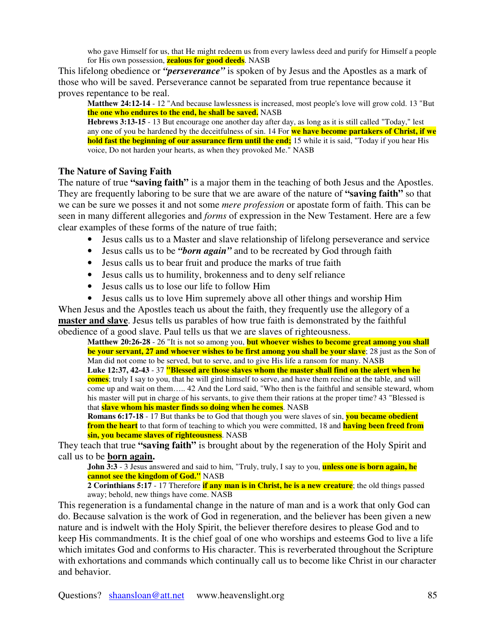who gave Himself for us, that He might redeem us from every lawless deed and purify for Himself a people for His own possession, **zealous for good deeds**. NASB

This lifelong obedience or *"perseverance"* is spoken of by Jesus and the Apostles as a mark of those who will be saved. Perseverance cannot be separated from true repentance because it proves repentance to be real.

**Matthew 24:12-14** - 12 "And because lawlessness is increased, most people's love will grow cold. 13 "But **the one who endures to the end, he shall be saved.** NASB

**Hebrews 3:13-15** - 13 But encourage one another day after day, as long as it is still called "Today," lest any one of you be hardened by the deceitfulness of sin. 14 For **we have become partakers of Christ, if we hold fast the beginning of our assurance firm until the end;** 15 while it is said, "Today if you hear His voice, Do not harden your hearts, as when they provoked Me." NASB

## **The Nature of Saving Faith**

The nature of true **"saving faith"** is a major them in the teaching of both Jesus and the Apostles. They are frequently laboring to be sure that we are aware of the nature of **"saving faith"** so that we can be sure we posses it and not some *mere profession* or apostate form of faith. This can be seen in many different allegories and *forms* of expression in the New Testament. Here are a few clear examples of these forms of the nature of true faith;

- Jesus calls us to a Master and slave relationship of lifelong perseverance and service
- Jesus calls us to be *"born again"* and to be recreated by God through faith
- Jesus calls us to bear fruit and produce the marks of true faith
- Jesus calls us to humility, brokenness and to deny self reliance
- Jesus calls us to lose our life to follow Him
- Jesus calls us to love Him supremely above all other things and worship Him

When Jesus and the Apostles teach us about the faith, they frequently use the allegory of a **master and slave**. Jesus tells us parables of how true faith is demonstrated by the faithful obedience of a good slave. Paul tells us that we are slaves of righteousness.

**Matthew 20:26-28** - 26 "It is not so among you, **but whoever wishes to become great among you shall be your servant, 27 and whoever wishes to be first among you shall be your slave**; 28 just as the Son of Man did not come to be served, but to serve, and to give His life a ransom for many. NASB **Luke 12:37, 42-43** - 37 **"Blessed are those slaves whom the master shall find on the alert when he comes**; truly I say to you, that he will gird himself to serve, and have them recline at the table, and will come up and wait on them….. 42 And the Lord said, "Who then is the faithful and sensible steward, whom his master will put in charge of his servants, to give them their rations at the proper time? 43 "Blessed is that **slave whom his master finds so doing when he comes**. NASB

**Romans 6:17-18** - 17 But thanks be to God that though you were slaves of sin, **you became obedient from the heart** to that form of teaching to which you were committed, 18 and **having been freed from sin, you became slaves of righteousness**. NASB

They teach that true **"saving faith"** is brought about by the regeneration of the Holy Spirit and call us to be **born again.**

**John 3:3** - 3 Jesus answered and said to him, "Truly, truly, I say to you, **unless one is born again, he cannot see the kingdom of God."** NASB

**2 Corinthians 5:17** - 17 Therefore **if any man is in Christ, he is a new creature**; the old things passed away; behold, new things have come. NASB

This regeneration is a fundamental change in the nature of man and is a work that only God can do. Because salvation is the work of God in regeneration, and the believer has been given a new nature and is indwelt with the Holy Spirit, the believer therefore desires to please God and to keep His commandments. It is the chief goal of one who worships and esteems God to live a life which imitates God and conforms to His character. This is reverberated throughout the Scripture with exhortations and commands which continually call us to become like Christ in our character and behavior.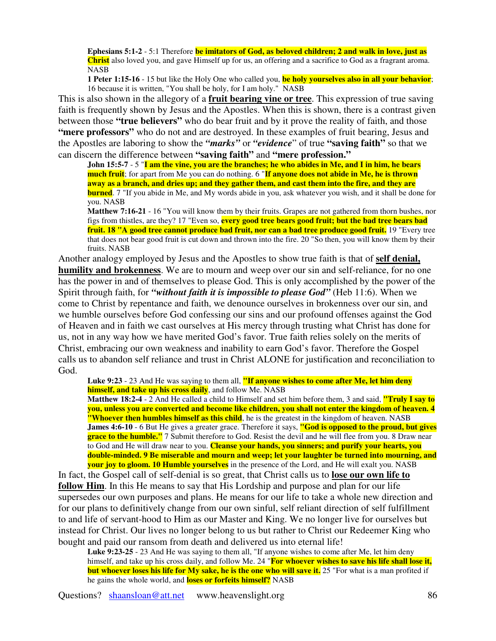**Ephesians 5:1-2** - 5:1 Therefore **be imitators of God, as beloved children; 2 and walk in love, just as Christ** also loved you, and gave Himself up for us, an offering and a sacrifice to God as a fragrant aroma. NASB

**1 Peter 1:15-16** - 15 but like the Holy One who called you, **be holy yourselves also in all your behavior**; 16 because it is written, "You shall be holy, for I am holy." NASB

This is also shown in the allegory of a **fruit bearing vine or tree**. This expression of true saving faith is frequently shown by Jesus and the Apostles. When this is shown, there is a contrast given between those **"true believers"** who do bear fruit and by it prove the reality of faith, and those **"mere professors"** who do not and are destroyed. In these examples of fruit bearing, Jesus and the Apostles are laboring to show the *"marks"* or *"evidence*" of true **"saving faith"** so that we can discern the difference between **"saving faith"** and **"mere profession."**

John 15:5-7 - 5 "I am the vine, you are the branches; he who abides in Me, and I in him, he bears **much fruit**; for apart from Me you can do nothing. 6 "**If anyone does not abide in Me, he is thrown** away as a branch, and dries up; and they gather them, and cast them into the fire, and they are **burned**. 7 "If you abide in Me, and My words abide in you, ask whatever you wish, and it shall be done for you. NASB

**Matthew 7:16-21** - 16 "You will know them by their fruits. Grapes are not gathered from thorn bushes, nor figs from thistles, are they? 17 "Even so, **every good tree bears good fruit; but the bad tree bears bad fruit. 18 "A good tree cannot produce bad fruit, nor can a bad tree produce good fruit.** 19 "Every tree that does not bear good fruit is cut down and thrown into the fire. 20 "So then, you will know them by their fruits. NASB

Another analogy employed by Jesus and the Apostles to show true faith is that of **self denial, humility and brokenness**. We are to mourn and weep over our sin and self-reliance, for no one has the power in and of themselves to please God. This is only accomplished by the power of the Spirit through faith, for *"without faith it is impossible to please God"* (Heb 11:6). When we come to Christ by repentance and faith, we denounce ourselves in brokenness over our sin, and we humble ourselves before God confessing our sins and our profound offenses against the God of Heaven and in faith we cast ourselves at His mercy through trusting what Christ has done for us, not in any way how we have merited God's favor. True faith relies solely on the merits of Christ, embracing our own weakness and inability to earn God's favor. Therefore the Gospel calls us to abandon self reliance and trust in Christ ALONE for justification and reconciliation to God.

**Luke 9:23** - 23 And He was saying to them all, **"If anyone wishes to come after Me, let him deny himself, and take up his cross daily**, and follow Me. NASB

**Matthew 18:2-4** - 2 And He called a child to Himself and set him before them, 3 and said, **"Truly I say to** you, unless you are converted and become like children, you shall not enter the kingdom of heaven. 4 **"Whoever then humbles himself as this child**, he is the greatest in the kingdom of heaven. NASB **James 4:6-10** - 6 But He gives a greater grace. Therefore it says, **"God is opposed to the proud, but gives grace to the humble."** 7 Submit therefore to God. Resist the devil and he will flee from you. 8 Draw near to God and He will draw near to you. **Cleanse your hands, you sinners; and purify your hearts, you double-minded. 9 Be miserable and mourn and weep; let your laughter be turned into mourning, and your joy to gloom. 10 Humble yourselves** in the presence of the Lord, and He will exalt you. NASB

In fact, the Gospel call of self-denial is so great, that Christ calls us to **lose our own life to follow Him**. In this He means to say that His Lordship and purpose and plan for our life supersedes our own purposes and plans. He means for our life to take a whole new direction and for our plans to definitively change from our own sinful, self reliant direction of self fulfillment to and life of servant-hood to Him as our Master and King. We no longer live for ourselves but instead for Christ. Our lives no longer belong to us but rather to Christ our Redeemer King who bought and paid our ransom from death and delivered us into eternal life!

**Luke 9:23-25** - 23 And He was saying to them all, "If anyone wishes to come after Me, let him deny himself, and take up his cross daily, and follow Me. 24 "**For whoever wishes to save his life shall lose it, but whoever loses his life for My sake, he is the one who will save it.** 25 "For what is a man profited if he gains the whole world, and **loses or forfeits himself?** NASB